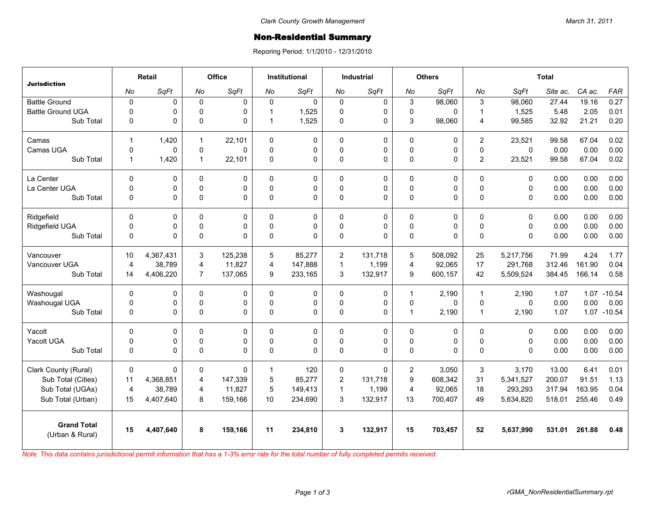## **Non-Residential Summary**

Reporing Period: 1/1/2010 - 12/31/2010

| <b>Jurisdiction</b>                   | Retail         |           | Office         |             | <b>Institutional</b> |           | <b>Industrial</b> |             | <b>Others</b>  |          | <b>Total</b>   |              |          |        |             |
|---------------------------------------|----------------|-----------|----------------|-------------|----------------------|-----------|-------------------|-------------|----------------|----------|----------------|--------------|----------|--------|-------------|
|                                       | No             | SqFt      | No             | SqFt        | No                   | SqFt      | No                | SqFt        | No             | SqFt     | No             | SqFt         | Site ac. | CA ac. | <b>FAR</b>  |
| <b>Battle Ground</b>                  | $\mathbf 0$    | 0         | $\mathbf 0$    | $\mathbf 0$ | $\Omega$             | $\pmb{0}$ | $\mathbf 0$       | $\mathbf 0$ | 3              | 98,060   | 3              | 98,060       | 27.44    | 19.16  | 0.27        |
| <b>Battle Ground UGA</b>              | $\mathbf 0$    | 0         | $\Omega$       | $\Omega$    |                      | 1,525     | 0                 | $\mathbf 0$ | $\mathbf 0$    | 0        | $\overline{1}$ | 1,525        | 5.48     | 2.05   | 0.01        |
| Sub Total                             | $\mathbf 0$    | 0         | 0              | $\mathbf 0$ |                      | 1,525     | 0                 | $\mathbf 0$ | 3              | 98,060   | 4              | 99,585       | 32.92    | 21.21  | 0.20        |
| Camas                                 | $\mathbf{1}$   | 1,420     | $\mathbf{1}$   | 22,101      | $\Omega$             | 0         | $\mathbf 0$       | $\mathbf 0$ | 0              | 0        | $\overline{2}$ | 23,521       | 99.58    | 67.04  | 0.02        |
| Camas UGA                             | $\mathbf 0$    | 0         | 0              | $\Omega$    | $\Omega$             | 0         | 0                 | $\pmb{0}$   | 0              | 0        | $\Omega$       | $\mathbf{0}$ | 0.00     | 0.00   | 0.00        |
| Sub Total                             | $\mathbf{1}$   | 1,420     | $\mathbf{1}$   | 22,101      | 0                    | 0         | 0                 | $\pmb{0}$   | $\mathsf 0$    | 0        | $\overline{c}$ | 23,521       | 99.58    | 67.04  | 0.02        |
| La Center                             | $\mathbf 0$    | 0         | 0              | $\mathbf 0$ | $\Omega$             | 0         | 0                 | $\mathbf 0$ | 0              | 0        | $\Omega$       | 0            | 0.00     | 0.00   | 0.00        |
| La Center UGA                         | $\mathbf 0$    | 0         | $\Omega$       | 0           | $\Omega$             | 0         | 0                 | $\mathbf 0$ | $\mathbf 0$    | 0        | $\Omega$       | $\Omega$     | 0.00     | 0.00   | 0.00        |
| Sub Total                             | $\mathbf 0$    | 0         | 0              | $\Omega$    | $\Omega$             | 0         | 0                 | $\Omega$    | 0              | 0        | $\Omega$       | 0            | 0.00     | 0.00   | 0.00        |
| Ridgefield                            | $\mathbf{0}$   | 0         | $\Omega$       | $\Omega$    | $\Omega$             | 0         | $\Omega$          | 0           | 0              | 0        | $\mathbf{0}$   | 0            | 0.00     | 0.00   | 0.00        |
| Ridgefield UGA                        | $\mathbf 0$    | 0         | 0              | 0           | $\Omega$             | 0         | 0                 | $\mathbf 0$ | 0              | 0        | $\Omega$       | $\Omega$     | 0.00     | 0.00   | 0.00        |
| Sub Total                             | $\mathbf 0$    | 0         | 0              | $\Omega$    | $\Omega$             | $\Omega$  | 0                 | $\Omega$    | 0              | 0        | $\Omega$       | $\Omega$     | 0.00     | 0.00   | 0.00        |
| Vancouver                             | 10             | 4,367,431 | 3              | 125.238     | 5                    | 85.277    | 2                 | 131.718     | 5              | 508.092  | 25             | 5,217,756    | 71.99    | 4.24   | 1.77        |
| Vancouver UGA                         | $\overline{4}$ | 38,789    | 4              | 11,827      | 4                    | 147,888   | $\mathbf{1}$      | 1,199       | 4              | 92,065   | 17             | 291,768      | 312.46   | 161.90 | 0.04        |
| Sub Total                             | 14             | 4,406,220 | $\overline{7}$ | 137,065     | 9                    | 233,165   | 3                 | 132,917     | 9              | 600,157  | 42             | 5,509,524    | 384.45   | 166.14 | 0.58        |
| Washougal                             | $\Omega$       | 0         | $\Omega$       | $\Omega$    | $\Omega$             | 0         | $\Omega$          | $\Omega$    | $\mathbf{1}$   | 2,190    | $\mathbf 1$    | 2.190        | 1.07     | 1.07   | $-10.54$    |
| Washougal UGA                         | $\mathbf 0$    | 0         | 0              | 0           | $\mathbf 0$          | 0         | 0                 | $\pmb{0}$   | $\mathbf 0$    | 0        | 0              | $\mathbf 0$  | 0.00     | 0.00   | 0.00        |
| Sub Total                             | $\Omega$       | 0         | 0              | $\Omega$    | $\Omega$             | $\Omega$  | $\Omega$          | $\Omega$    | $\mathbf{1}$   | 2,190    | $\overline{1}$ | 2,190        | 1.07     |        | 1.07 -10.54 |
| Yacolt                                | $\Omega$       | 0         | $\Omega$       | $\Omega$    | $\Omega$             | $\Omega$  | $\Omega$          | $\Omega$    | 0              | 0        | $\Omega$       | $\mathbf{0}$ | 0.00     | 0.00   | 0.00        |
| Yacolt UGA                            | $\mathbf 0$    | 0         | 0              | $\pmb{0}$   | $\Omega$             | 0         | 0                 | $\pmb{0}$   | $\mathsf 0$    | 0        | $\Omega$       | $\mathbf 0$  | 0.00     | 0.00   | 0.00        |
| Sub Total                             | $\Omega$       | 0         | 0              | $\Omega$    | $\Omega$             | 0         | $\Omega$          | $\Omega$    | 0              | $\Omega$ | $\Omega$       | 0            | 0.00     | 0.00   | 0.00        |
| Clark County (Rural)                  | $\Omega$       | $\Omega$  | 0              | $\Omega$    | $\mathbf{1}$         | 120       | 0                 | $\Omega$    | $\overline{2}$ | 3,050    | 3              | 3.170        | 13.00    | 6.41   | 0.01        |
| Sub Total (Cities)                    | 11             | 4,368,851 | 4              | 147,339     | 5                    | 85,277    | $\overline{c}$    | 131,718     | 9              | 608,342  | 31             | 5,341,527    | 200.07   | 91.51  | 1.13        |
| Sub Total (UGAs)                      | $\overline{4}$ | 38,789    | 4              | 11,827      | 5                    | 149,413   | $\mathbf{1}$      | 1,199       | $\overline{4}$ | 92,065   | 18             | 293,293      | 317.94   | 163.95 | 0.04        |
| Sub Total (Urban)                     | 15             | 4,407,640 | 8              | 159,166     | 10                   | 234,690   | 3                 | 132,917     | 13             | 700,407  | 49             | 5,634,820    | 518.01   | 255.46 | 0.49        |
| <b>Grand Total</b><br>(Urban & Rural) | 15             | 4,407,640 | 8              | 159,166     | 11                   | 234,810   | 3                 | 132,917     | 15             | 703,457  | 52             | 5,637,990    | 531.01   | 261.88 | 0.48        |
|                                       |                |           |                |             |                      |           |                   |             |                |          |                |              |          |        |             |

*Note: This data contains jurisdictional permit information that has a 1-3% error rate for the total number of fully completed permits received.*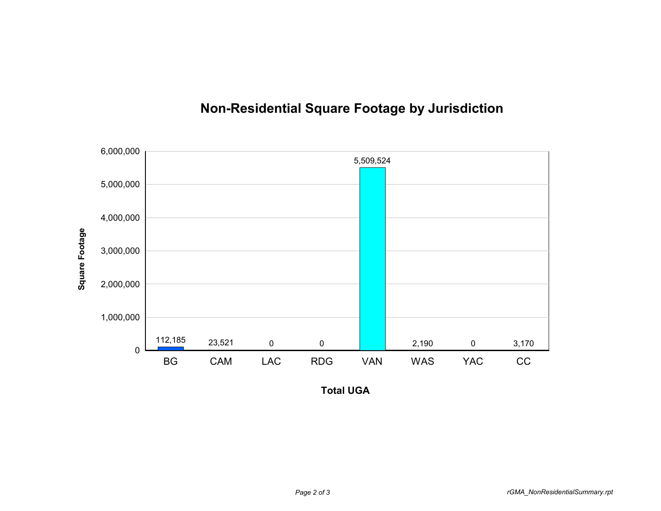

## **Non-Residential Square Footage by Jurisdiction**

**Total UGA**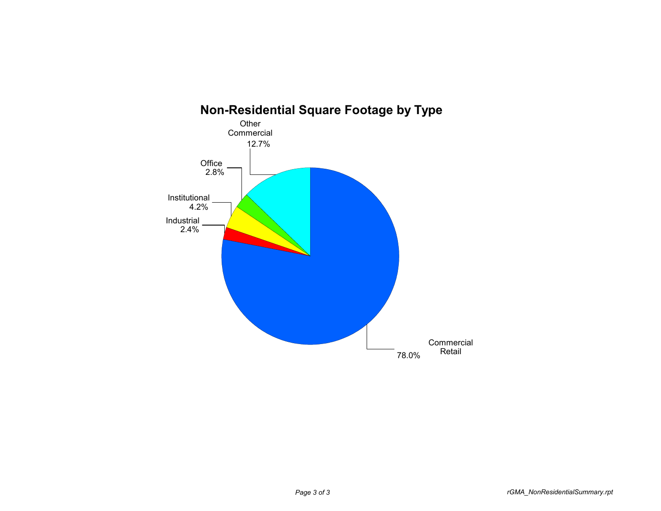

## **Non-Residential Square Footage by Type**